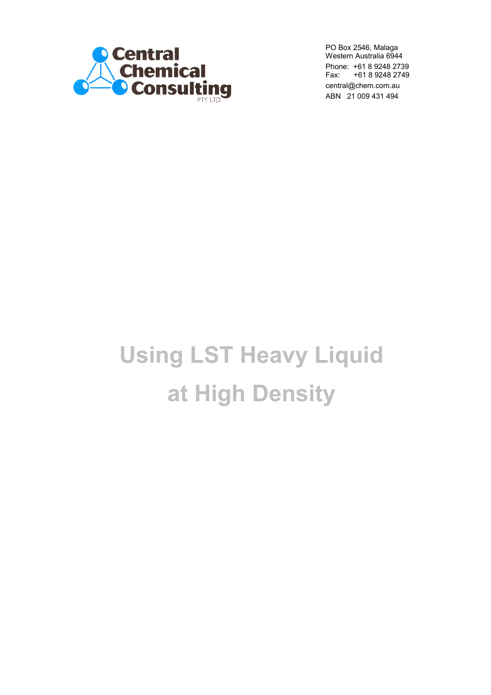

PO Box 2546, Malaga Western Australia 6944 Phone: +61 8 9248 2739<br>Fax: +61 8 9248 2749 Fax: +61 8 9248 2749 [central@chem.com.au](smb://Plato/files/ADMIN/Quotes&Proformas-LST/central@chem.com.au) ABN 21 009 431 494

# **Using LST Heavy Liquid at High Density**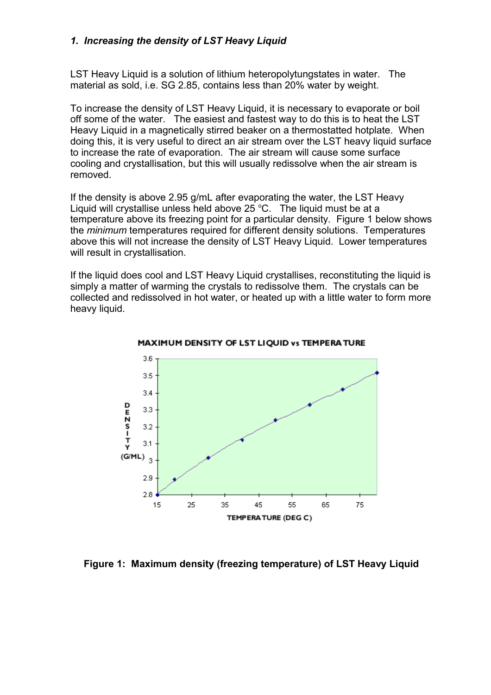## *1. Increasing the density of LST Heavy Liquid*

LST Heavy Liquid is a solution of lithium heteropolytungstates in water. The material as sold, i.e. SG 2.85, contains less than 20% water by weight.

To increase the density of LST Heavy Liquid, it is necessary to evaporate or boil off some of the water. The easiest and fastest way to do this is to heat the LST Heavy Liquid in a magnetically stirred beaker on a thermostatted hotplate. When doing this, it is very useful to direct an air stream over the LST heavy liquid surface to increase the rate of evaporation. The air stream will cause some surface cooling and crystallisation, but this will usually redissolve when the air stream is removed.

If the density is above 2.95 g/mL after evaporating the water, the LST Heavy Liquid will crystallise unless held above  $25^{\circ}$ C. The liquid must be at a temperature above its freezing point for a particular density. Figure 1 below shows the *minimum* temperatures required for different density solutions. Temperatures above this will not increase the density of LST Heavy Liquid. Lower temperatures will result in crystallisation.

If the liquid does cool and LST Heavy Liquid crystallises, reconstituting the liquid is simply a matter of warming the crystals to redissolve them. The crystals can be collected and redissolved in hot water, or heated up with a little water to form more heavy liquid.



MAXIMUM DENSITY OF LST LIQUID vs TEMPERATURE

**Figure 1: Maximum density (freezing temperature) of LST Heavy Liquid**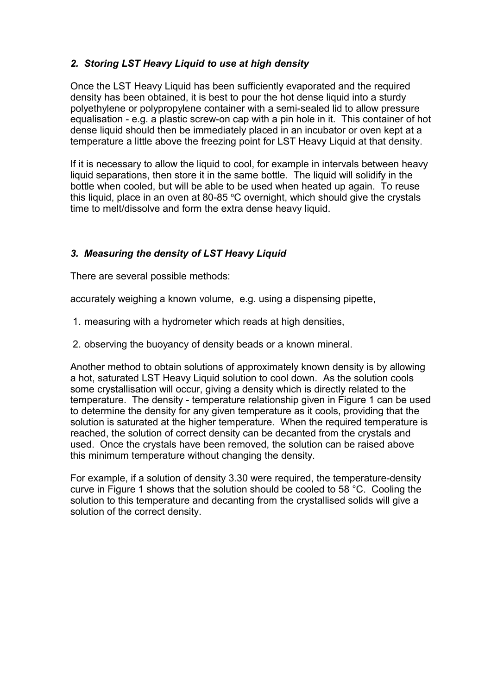## *2. Storing LST Heavy Liquid to use at high density*

Once the LST Heavy Liquid has been sufficiently evaporated and the required density has been obtained, it is best to pour the hot dense liquid into a sturdy polyethylene or polypropylene container with a semi-sealed lid to allow pressure equalisation - e.g. a plastic screw-on cap with a pin hole in it. This container of hot dense liquid should then be immediately placed in an incubator or oven kept at a temperature a little above the freezing point for LST Heavy Liquid at that density.

If it is necessary to allow the liquid to cool, for example in intervals between heavy liquid separations, then store it in the same bottle. The liquid will solidify in the bottle when cooled, but will be able to be used when heated up again. To reuse this liquid, place in an oven at 80-85  $\degree$ C overnight, which should give the crystals time to melt/dissolve and form the extra dense heavy liquid.

# *3. Measuring the density of LST Heavy Liquid*

There are several possible methods:

accurately weighing a known volume, e.g. using a dispensing pipette,

- 1. measuring with a hydrometer which reads at high densities,
- 2. observing the buoyancy of density beads or a known mineral.

Another method to obtain solutions of approximately known density is by allowing a hot, saturated LST Heavy Liquid solution to cool down. As the solution cools some crystallisation will occur, giving a density which is directly related to the temperature. The density - temperature relationship given in Figure 1 can be used to determine the density for any given temperature as it cools, providing that the solution is saturated at the higher temperature. When the required temperature is reached, the solution of correct density can be decanted from the crystals and used. Once the crystals have been removed, the solution can be raised above this minimum temperature without changing the density.

For example, if a solution of density 3.30 were required, the temperature-density curve in Figure 1 shows that the solution should be cooled to 58 °C. Cooling the solution to this temperature and decanting from the crystallised solids will give a solution of the correct density.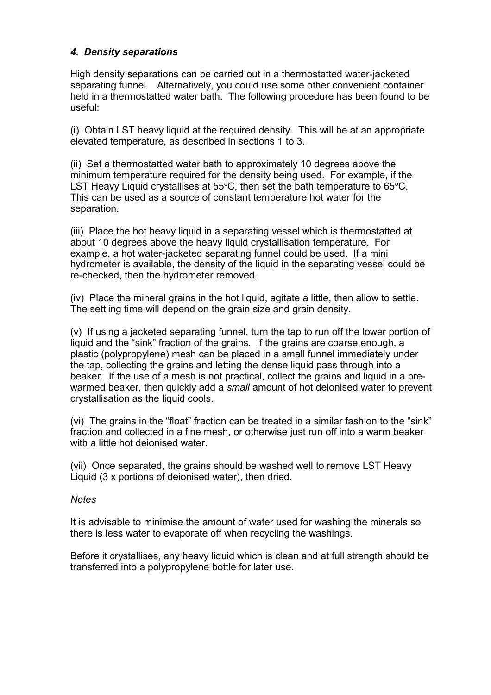## *4. Density separations*

High density separations can be carried out in a thermostatted water-jacketed separating funnel. Alternatively, you could use some other convenient container held in a thermostatted water bath. The following procedure has been found to be useful:

(i) Obtain LST heavy liquid at the required density. This will be at an appropriate elevated temperature, as described in sections 1 to 3.

(ii) Set a thermostatted water bath to approximately 10 degrees above the minimum temperature required for the density being used. For example, if the LST Heavy Liquid crystallises at  $55^{\circ}$ C, then set the bath temperature to  $65^{\circ}$ C. This can be used as a source of constant temperature hot water for the separation.

(iii) Place the hot heavy liquid in a separating vessel which is thermostatted at about 10 degrees above the heavy liquid crystallisation temperature. For example, a hot water-jacketed separating funnel could be used. If a mini hydrometer is available, the density of the liquid in the separating vessel could be re-checked, then the hydrometer removed.

(iv) Place the mineral grains in the hot liquid, agitate a little, then allow to settle. The settling time will depend on the grain size and grain density.

(v) If using a jacketed separating funnel, turn the tap to run off the lower portion of liquid and the "sink" fraction of the grains. If the grains are coarse enough, a plastic (polypropylene) mesh can be placed in a small funnel immediately under the tap, collecting the grains and letting the dense liquid pass through into a beaker. If the use of a mesh is not practical, collect the grains and liquid in a prewarmed beaker, then quickly add a *small* amount of hot deionised water to prevent crystallisation as the liquid cools.

(vi) The grains in the "float" fraction can be treated in a similar fashion to the "sink" fraction and collected in a fine mesh, or otherwise just run off into a warm beaker with a little hot deionised water.

(vii) Once separated, the grains should be washed well to remove LST Heavy Liquid (3 x portions of deionised water), then dried.

#### *Notes*

It is advisable to minimise the amount of water used for washing the minerals so there is less water to evaporate off when recycling the washings.

Before it crystallises, any heavy liquid which is clean and at full strength should be transferred into a polypropylene bottle for later use.